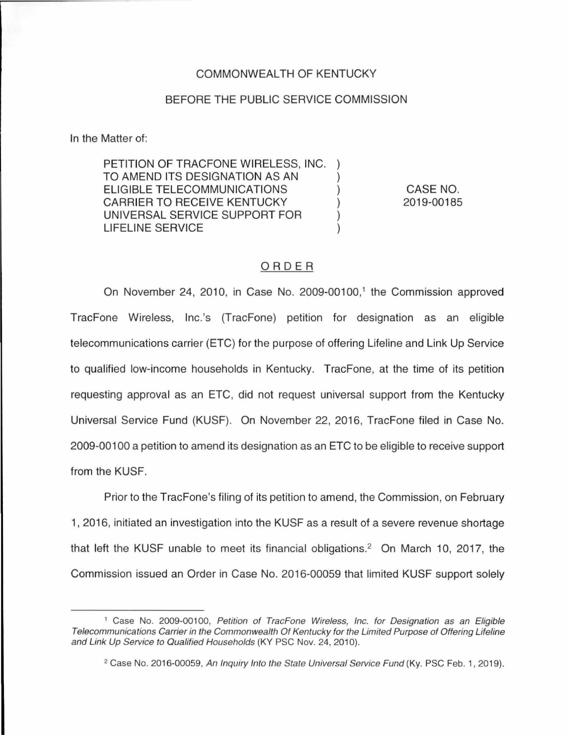## COMMONWEALTH OF KENTUCKY

## BEFORE THE PUBLIC SERVICE COMMISSION

In the Matter of:

PETITION OF TRACFONE WIRELESS, INC. TO AMEND ITS DESIGNATION AS AN ) ELIGIBLE TELECOMMUNICATIONS ) CARRIER TO RECEIVE KENTUCKY UNIVERSAL SERVICE SUPPORT FOR ) LIFELINE SERVICE )

CASE NO. 2019-00185

## ORDER

On November 24, 2010, in Case No. 2009-00100,<sup>1</sup> the Commission approved TracFone Wireless, lnc.'s (TracFone) petition for designation as an eligible telecommunications carrier (ETC) for the purpose of offering Lifeline and Link Up Service to qualified low-income households in Kentucky. TracFone, at the time of its petition requesting approval as an ETC, did not request universal support from the Kentucky Universal Service Fund (KUSF). On November 22, 2016, TracFone filed in Case No. 2009-00100 a petition to amend its designation as an ETC to be eligible to receive support from the KUSF.

Prior to the TracFone's filing of its petition to amend, the Commission, on February 1, 2016, initiated an investigation into the KUSF as a result of a severe revenue shortage that left the KUSF unable to meet its financial obligations.2 On March 10, 2017, the Commission issued an Order in Case No. 2016-00059 that limited KUSF support solely

<sup>&</sup>lt;sup>1</sup> Case No. 2009-00100, Petition of TracFone Wireless, Inc. for Designation as an Eligible Telecommunications Carrier in the Commonwealth Of Kentucky for the Limited Purpose of Offering Lifeline and Link Up Service to Qualified Households (KY PSC Nov. 24, 2010).

<sup>&</sup>lt;sup>2</sup> Case No. 2016-00059, An Inquiry Into the State Universal Service Fund (Ky. PSC Feb. 1, 2019).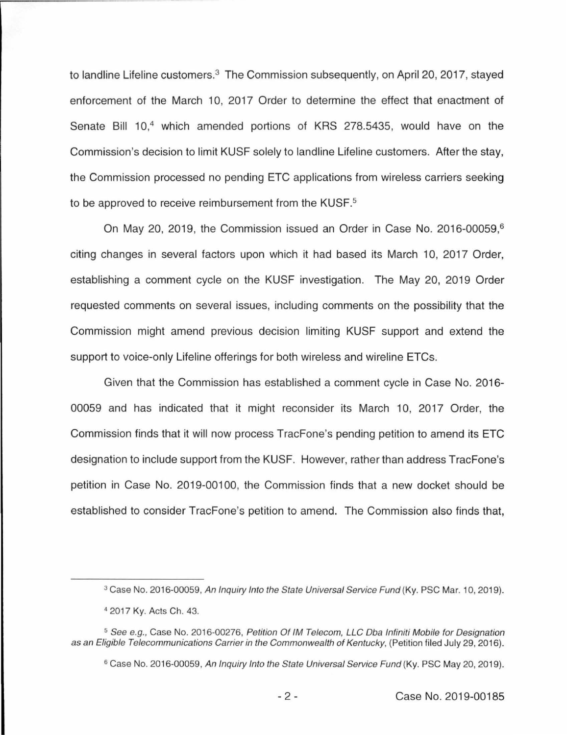to landline Lifeline customers.<sup>3</sup> The Commission subsequently, on April 20, 2017, stayed enforcement of the March 10, 2017 Order to determine the effect that enactment of Senate Bill 10,<sup>4</sup> which amended portions of KRS 278.5435, would have on the Commission's decision to limit KUSF solely to landline Lifeline customers. After the stay, the Commission processed no pending ETC applications from wireless carriers seeking to be approved to receive reimbursement from the KUSF.<sup>5</sup>

On May 20, 2019, the Commission issued an Order in Case No. 2016-00059, 6 citing changes in several factors upon which it had based its March 10, 2017 Order, establishing a comment cycle on the KUSF investigation. The May 20, 2019 Order requested comments on several issues, including comments on the possibility that the Commission might amend previous decision limiting KUSF support and extend the support to voice-only Lifeline offerings for both wireless and wireline ETCs.

Given that the Commission has established a comment cycle in Case No. 2016- 00059 and has indicated that it might reconsider its March 10, 2017 Order, the Commission finds that it will now process TracFone's pending petition to amend its ETC designation to include support from the KUSF. However, rather than address TracFone's petition in Case No. 2019-00100, the Commission finds that a new docket should be established to consider TracFone's petition to amend. The Commission also finds that,

<sup>&</sup>lt;sup>3</sup> Case No. 2016-00059, An Inquiry Into the State Universal Service Fund (Ky. PSC Mar. 10, 2019).

<sup>4</sup>2017 Ky. Acts Ch. 43.

<sup>&</sup>lt;sup>5</sup> See e.g., Case No. 2016-00276, Petition Of IM Telecom, LLC Dba Infiniti Mobile for Designation as an Eligible Telecommunications Carrier in the Commonwealth of Kentucky, (Petition filed July 29, 2016).

<sup>&</sup>lt;sup>6</sup> Case No. 2016-00059, An Inquiry Into the State Universal Service Fund (Ky. PSC May 20, 2019).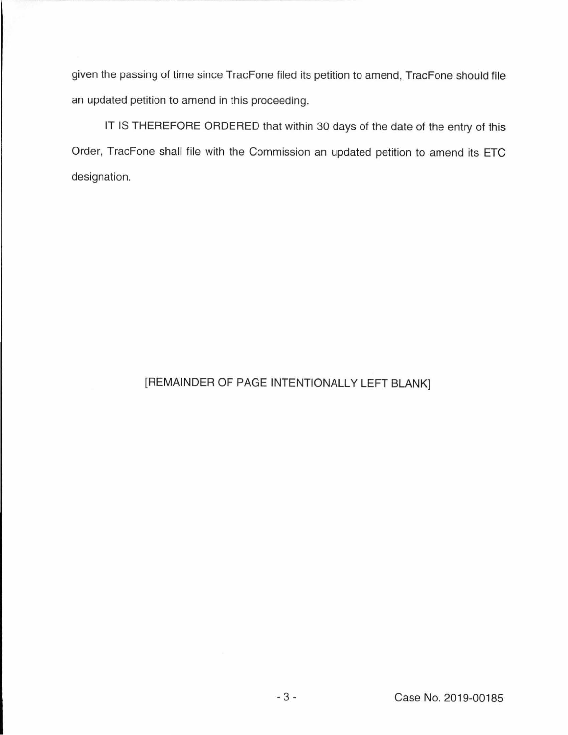given the passing of time since TracFone filed its petition to amend, TracFone should file an updated petition to amend in this proceeding.

IT IS THEREFORE ORDERED that within 30 days of the date of the entry of this Order, TracFone shall file with the Commission an updated petition to amend its ETC designation.

## [REMAINDER OF PAGE INTENTIONALLY LEFT BLANK]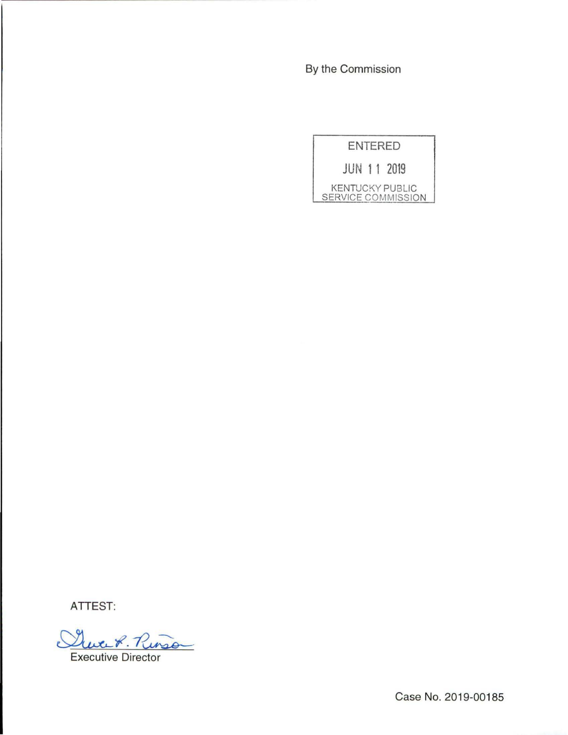By the Commission

ENTERED

JUN 11 2019

KENTUCKY PUBLIC SERVICE COMMISSION

ATTEST:

Executive Director

Case No. 2019-00185